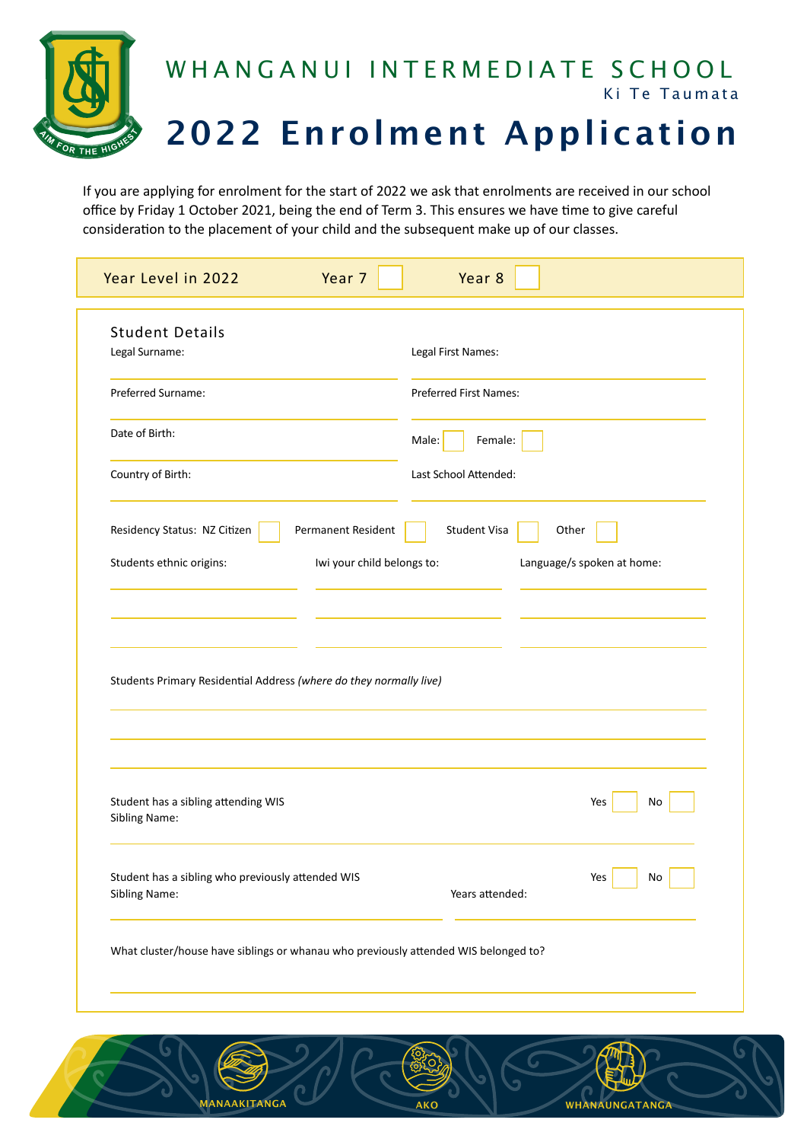

If you are applying for enrolment for the start of 2022 we ask that enrolments are received in our school office by Friday 1 October 2021, being the end of Term 3. This ensures we have time to give careful consideration to the placement of your child and the subsequent make up of our classes.

| Year Level in 2022<br>Year 7                                                        | Year 8                        |
|-------------------------------------------------------------------------------------|-------------------------------|
| <b>Student Details</b><br>Legal Surname:                                            | Legal First Names:            |
| Preferred Surname:                                                                  | <b>Preferred First Names:</b> |
| Date of Birth:                                                                      | Female:<br>Male:              |
| Country of Birth:                                                                   | Last School Attended:         |
| Residency Status: NZ Citizen<br>Permanent Resident                                  | <b>Student Visa</b><br>Other  |
| Students ethnic origins:<br>Iwi your child belongs to:                              | Language/s spoken at home:    |
|                                                                                     |                               |
| Students Primary Residential Address (where do they normally live)                  |                               |
| Student has a sibling attending WIS<br>Sibling Name:                                | Yes<br>No                     |
| Student has a sibling who previously attended WIS<br>Sibling Name:                  | Yes<br>No<br>Years attended:  |
| What cluster/house have siblings or whanau who previously attended WIS belonged to? |                               |

ANAAKITANGA AKO AKO WHANAUNGATANGA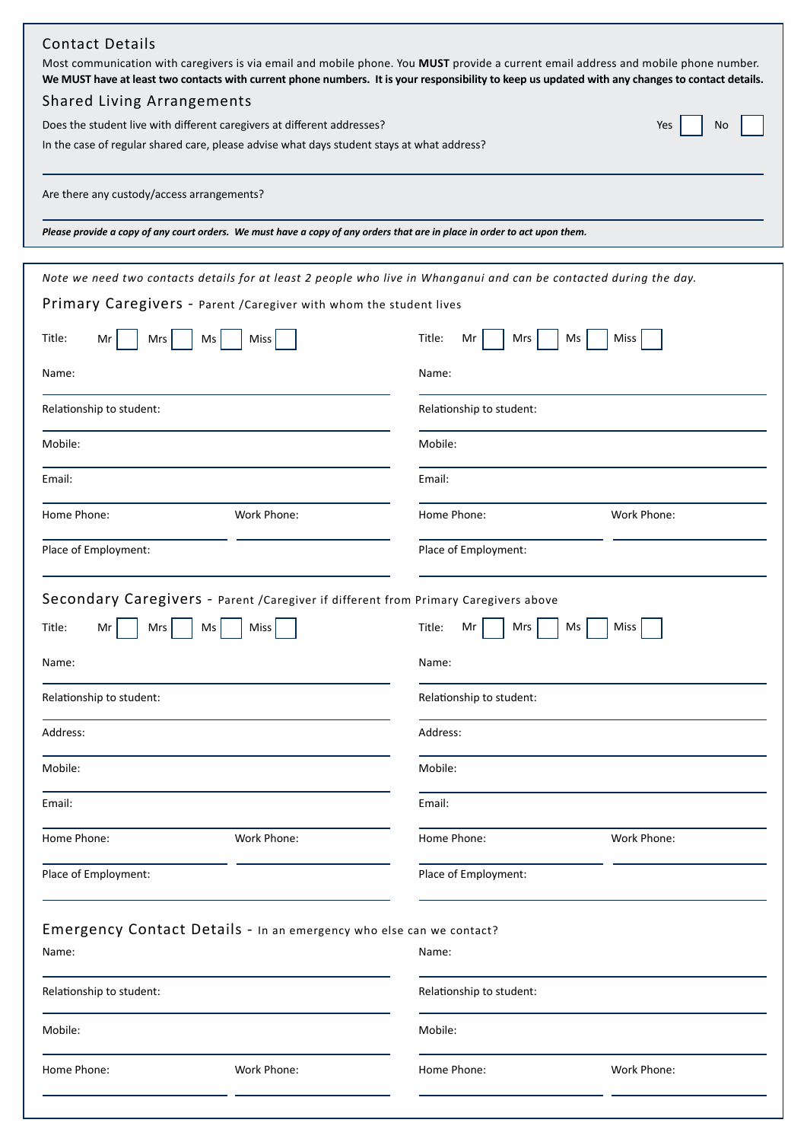| Please provide a copy of any court orders. We must have a copy of any orders that are in place in order to act upon them.<br>Note we need two contacts details for at least 2 people who live in Whanganui and can be contacted during the day.<br>Primary Caregivers - Parent / Caregiver with whom the student lives<br>Title:<br>Miss<br>Title:<br>Mr<br>Mrs<br>Ms<br>Miss<br>Mrs<br>Ms<br>Mr<br>Name:<br>Name:<br>Relationship to student:<br>Relationship to student:<br>Mobile:<br>Mobile:<br>Email:<br>Email:<br>Home Phone:<br>Work Phone:<br>Home Phone:<br>Work Phone:<br>Place of Employment:<br>Place of Employment:<br>Secondary Caregivers - Parent / Caregiver if different from Primary Caregivers above<br>Miss<br>Title:<br>Mrs<br>Miss<br>Title:<br>Mrs<br>Ms<br>Ms<br>Mr<br>Mr<br>Name:<br>Name:<br>Relationship to student:<br>Relationship to student:<br>Address:<br>Address:<br>Mobile:<br>Mobile:<br>Email:<br>Email:<br>Home Phone:<br>Work Phone:<br>Home Phone:<br>Work Phone:<br>Place of Employment:<br>Place of Employment:<br>Emergency Contact Details - In an emergency who else can we contact?<br>Name:<br>Name:<br>Relationship to student:<br>Relationship to student:<br>Mobile:<br>Mobile:<br>Home Phone:<br>Work Phone:<br>Home Phone:<br>Work Phone: | <b>Contact Details</b><br>Most communication with caregivers is via email and mobile phone. You MUST provide a current email address and mobile phone number.<br>We MUST have at least two contacts with current phone numbers. It is your responsibility to keep us updated with any changes to contact details.<br><b>Shared Living Arrangements</b><br>Does the student live with different caregivers at different addresses?<br>No<br>Yes<br>In the case of regular shared care, please advise what days student stays at what address?<br>Are there any custody/access arrangements? |  |  |  |
|------------------------------------------------------------------------------------------------------------------------------------------------------------------------------------------------------------------------------------------------------------------------------------------------------------------------------------------------------------------------------------------------------------------------------------------------------------------------------------------------------------------------------------------------------------------------------------------------------------------------------------------------------------------------------------------------------------------------------------------------------------------------------------------------------------------------------------------------------------------------------------------------------------------------------------------------------------------------------------------------------------------------------------------------------------------------------------------------------------------------------------------------------------------------------------------------------------------------------------------------------------------------------------------------|--------------------------------------------------------------------------------------------------------------------------------------------------------------------------------------------------------------------------------------------------------------------------------------------------------------------------------------------------------------------------------------------------------------------------------------------------------------------------------------------------------------------------------------------------------------------------------------------|--|--|--|
|                                                                                                                                                                                                                                                                                                                                                                                                                                                                                                                                                                                                                                                                                                                                                                                                                                                                                                                                                                                                                                                                                                                                                                                                                                                                                                |                                                                                                                                                                                                                                                                                                                                                                                                                                                                                                                                                                                            |  |  |  |
|                                                                                                                                                                                                                                                                                                                                                                                                                                                                                                                                                                                                                                                                                                                                                                                                                                                                                                                                                                                                                                                                                                                                                                                                                                                                                                |                                                                                                                                                                                                                                                                                                                                                                                                                                                                                                                                                                                            |  |  |  |
|                                                                                                                                                                                                                                                                                                                                                                                                                                                                                                                                                                                                                                                                                                                                                                                                                                                                                                                                                                                                                                                                                                                                                                                                                                                                                                |                                                                                                                                                                                                                                                                                                                                                                                                                                                                                                                                                                                            |  |  |  |
|                                                                                                                                                                                                                                                                                                                                                                                                                                                                                                                                                                                                                                                                                                                                                                                                                                                                                                                                                                                                                                                                                                                                                                                                                                                                                                |                                                                                                                                                                                                                                                                                                                                                                                                                                                                                                                                                                                            |  |  |  |
|                                                                                                                                                                                                                                                                                                                                                                                                                                                                                                                                                                                                                                                                                                                                                                                                                                                                                                                                                                                                                                                                                                                                                                                                                                                                                                |                                                                                                                                                                                                                                                                                                                                                                                                                                                                                                                                                                                            |  |  |  |
|                                                                                                                                                                                                                                                                                                                                                                                                                                                                                                                                                                                                                                                                                                                                                                                                                                                                                                                                                                                                                                                                                                                                                                                                                                                                                                |                                                                                                                                                                                                                                                                                                                                                                                                                                                                                                                                                                                            |  |  |  |
|                                                                                                                                                                                                                                                                                                                                                                                                                                                                                                                                                                                                                                                                                                                                                                                                                                                                                                                                                                                                                                                                                                                                                                                                                                                                                                |                                                                                                                                                                                                                                                                                                                                                                                                                                                                                                                                                                                            |  |  |  |
|                                                                                                                                                                                                                                                                                                                                                                                                                                                                                                                                                                                                                                                                                                                                                                                                                                                                                                                                                                                                                                                                                                                                                                                                                                                                                                |                                                                                                                                                                                                                                                                                                                                                                                                                                                                                                                                                                                            |  |  |  |
|                                                                                                                                                                                                                                                                                                                                                                                                                                                                                                                                                                                                                                                                                                                                                                                                                                                                                                                                                                                                                                                                                                                                                                                                                                                                                                |                                                                                                                                                                                                                                                                                                                                                                                                                                                                                                                                                                                            |  |  |  |
|                                                                                                                                                                                                                                                                                                                                                                                                                                                                                                                                                                                                                                                                                                                                                                                                                                                                                                                                                                                                                                                                                                                                                                                                                                                                                                |                                                                                                                                                                                                                                                                                                                                                                                                                                                                                                                                                                                            |  |  |  |
|                                                                                                                                                                                                                                                                                                                                                                                                                                                                                                                                                                                                                                                                                                                                                                                                                                                                                                                                                                                                                                                                                                                                                                                                                                                                                                |                                                                                                                                                                                                                                                                                                                                                                                                                                                                                                                                                                                            |  |  |  |
|                                                                                                                                                                                                                                                                                                                                                                                                                                                                                                                                                                                                                                                                                                                                                                                                                                                                                                                                                                                                                                                                                                                                                                                                                                                                                                |                                                                                                                                                                                                                                                                                                                                                                                                                                                                                                                                                                                            |  |  |  |
|                                                                                                                                                                                                                                                                                                                                                                                                                                                                                                                                                                                                                                                                                                                                                                                                                                                                                                                                                                                                                                                                                                                                                                                                                                                                                                |                                                                                                                                                                                                                                                                                                                                                                                                                                                                                                                                                                                            |  |  |  |
|                                                                                                                                                                                                                                                                                                                                                                                                                                                                                                                                                                                                                                                                                                                                                                                                                                                                                                                                                                                                                                                                                                                                                                                                                                                                                                |                                                                                                                                                                                                                                                                                                                                                                                                                                                                                                                                                                                            |  |  |  |
|                                                                                                                                                                                                                                                                                                                                                                                                                                                                                                                                                                                                                                                                                                                                                                                                                                                                                                                                                                                                                                                                                                                                                                                                                                                                                                |                                                                                                                                                                                                                                                                                                                                                                                                                                                                                                                                                                                            |  |  |  |
|                                                                                                                                                                                                                                                                                                                                                                                                                                                                                                                                                                                                                                                                                                                                                                                                                                                                                                                                                                                                                                                                                                                                                                                                                                                                                                |                                                                                                                                                                                                                                                                                                                                                                                                                                                                                                                                                                                            |  |  |  |
|                                                                                                                                                                                                                                                                                                                                                                                                                                                                                                                                                                                                                                                                                                                                                                                                                                                                                                                                                                                                                                                                                                                                                                                                                                                                                                |                                                                                                                                                                                                                                                                                                                                                                                                                                                                                                                                                                                            |  |  |  |
|                                                                                                                                                                                                                                                                                                                                                                                                                                                                                                                                                                                                                                                                                                                                                                                                                                                                                                                                                                                                                                                                                                                                                                                                                                                                                                |                                                                                                                                                                                                                                                                                                                                                                                                                                                                                                                                                                                            |  |  |  |
|                                                                                                                                                                                                                                                                                                                                                                                                                                                                                                                                                                                                                                                                                                                                                                                                                                                                                                                                                                                                                                                                                                                                                                                                                                                                                                |                                                                                                                                                                                                                                                                                                                                                                                                                                                                                                                                                                                            |  |  |  |
|                                                                                                                                                                                                                                                                                                                                                                                                                                                                                                                                                                                                                                                                                                                                                                                                                                                                                                                                                                                                                                                                                                                                                                                                                                                                                                |                                                                                                                                                                                                                                                                                                                                                                                                                                                                                                                                                                                            |  |  |  |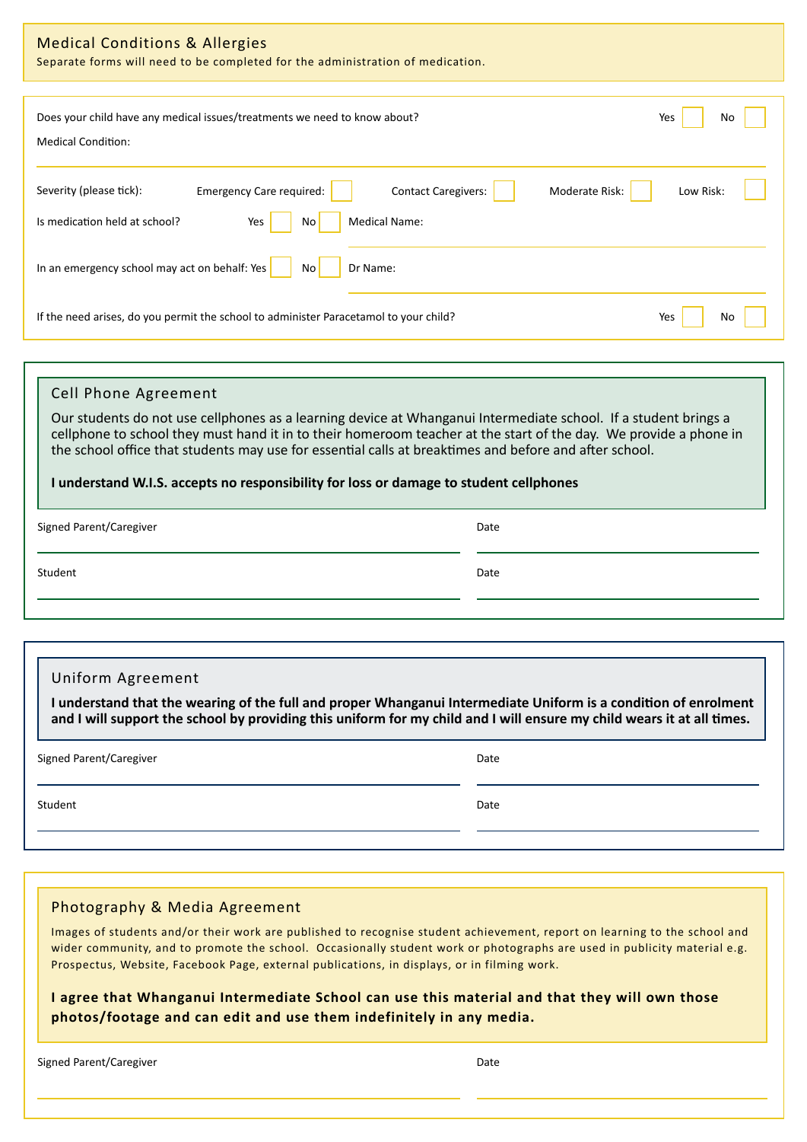| <b>Medical Conditions &amp; Allergies</b><br>Separate forms will need to be completed for the administration of medication.                                                                                                                                                                                                                                                                                                                                             |           |  |  |
|-------------------------------------------------------------------------------------------------------------------------------------------------------------------------------------------------------------------------------------------------------------------------------------------------------------------------------------------------------------------------------------------------------------------------------------------------------------------------|-----------|--|--|
| Does your child have any medical issues/treatments we need to know about?<br><b>Medical Condition:</b>                                                                                                                                                                                                                                                                                                                                                                  | Yes<br>No |  |  |
| Severity (please tick):<br><b>Emergency Care required:</b><br><b>Contact Caregivers:</b><br>Moderate Risk:<br>Low Risk:<br><b>Medical Name:</b><br>Is medication held at school?<br>No<br>Yes                                                                                                                                                                                                                                                                           |           |  |  |
| In an emergency school may act on behalf: Yes<br>No <sub>1</sub><br>Dr Name:                                                                                                                                                                                                                                                                                                                                                                                            |           |  |  |
| If the need arises, do you permit the school to administer Paracetamol to your child?                                                                                                                                                                                                                                                                                                                                                                                   | Yes<br>No |  |  |
|                                                                                                                                                                                                                                                                                                                                                                                                                                                                         |           |  |  |
| <b>Cell Phone Agreement</b><br>Our students do not use cellphones as a learning device at Whanganui Intermediate school. If a student brings a<br>cellphone to school they must hand it in to their homeroom teacher at the start of the day. We provide a phone in<br>the school office that students may use for essential calls at breaktimes and before and after school.<br>I understand W.I.S. accepts no responsibility for loss or damage to student cellphones |           |  |  |
| Signed Parent/Caregiver                                                                                                                                                                                                                                                                                                                                                                                                                                                 | Date      |  |  |
| Student                                                                                                                                                                                                                                                                                                                                                                                                                                                                 | Date      |  |  |
| Uniform Agreement<br>I understand that the wearing of the full and proper Whanganui Intermediate Uniform is a condition of enrolment<br>and I will support the school by providing this uniform for my child and I will ensure my child wears it at all times.                                                                                                                                                                                                          |           |  |  |
| Signed Parent/Caregiver                                                                                                                                                                                                                                                                                                                                                                                                                                                 | Date      |  |  |
| Student                                                                                                                                                                                                                                                                                                                                                                                                                                                                 | Date      |  |  |
|                                                                                                                                                                                                                                                                                                                                                                                                                                                                         |           |  |  |
| Photography & Media Agreement<br>Images of students and/or their work are published to recognise student achievement, report on learning to the school and<br>wider community, and to promote the school. Occasionally student work or photographs are used in publicity material e.g.<br>Prospectus, Website, Facebook Page, external publications, in displays, or in filming work.                                                                                   |           |  |  |

**I agree that Whanganui Intermediate School can use this material and that they will own those photos/footage and can edit and use them indefinitely in any media.**

Signed Parent/Caregiver **Date**